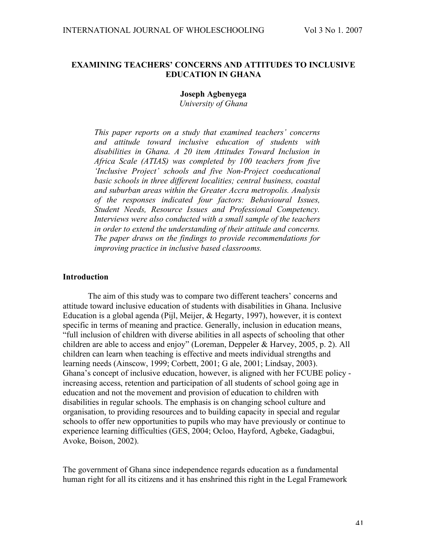## **EXAMINING TEACHERS' CONCERNS AND ATTITUDES TO INCLUSIVE EDUCATION IN GHANA**

**Joseph Agbenyega**

*University of Ghana*

*This paper reports on a study that examined teachers' concerns and attitude toward inclusive education of students with disabilities in Ghana. A 20 item Attitudes Toward Inclusion in Africa Scale (ATIAS) was completed by 100 teachers from five 'Inclusive Project' schools and five Non-Project coeducational basic schools in three different localities; central business, coastal and suburban areas within the Greater Accra metropolis. Analysis of the responses indicated four factors: Behavioural Issues, Student Needs, Resource Issues and Professional Competency. Interviews were also conducted with a small sample of the teachers in order to extend the understanding of their attitude and concerns. The paper draws on the findings to provide recommendations for improving practice in inclusive based classrooms.*

### **Introduction**

The aim of this study was to compare two different teachers' concerns and attitude toward inclusive education of students with disabilities in Ghana. Inclusive Education is a global agenda (Pijl, Meijer, & Hegarty, 1997), however, it is context specific in terms of meaning and practice. Generally, inclusion in education means, "full inclusion of children with diverse abilities in all aspects of schooling that other children are able to access and enjoy" (Loreman, Deppeler & Harvey, 2005, p. 2). All children can learn when teaching is effective and meets individual strengths and learning needs (Ainscow, 1999; Corbett, 2001; G ale, 2001; Lindsay, 2003). Ghana's concept of inclusive education, however, is aligned with her FCUBE policy increasing access, retention and participation of all students of school going age in education and not the movement and provision of education to children with disabilities in regular schools. The emphasis is on changing school culture and organisation, to providing resources and to building capacity in special and regular schools to offer new opportunities to pupils who may have previously or continue to experience learning difficulties (GES, 2004; Ocloo, Hayford, Agbeke, Gadagbui, Avoke, Boison, 2002).

The government of Ghana since independence regards education as a fundamental human right for all its citizens and it has enshrined this right in the Legal Framework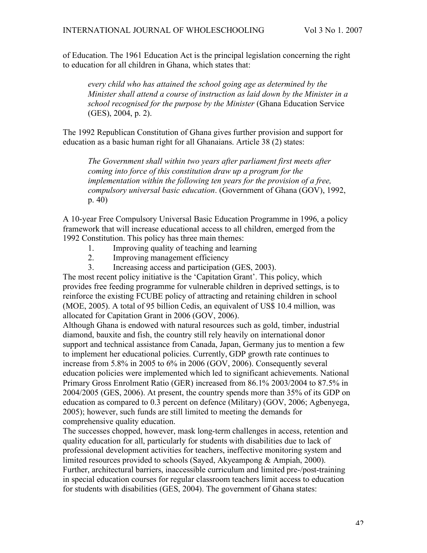of Education. The 1961 Education Act is the principal legislation concerning the right to education for all children in Ghana, which states that:

*every child who has attained the school going age as determined by the Minister shall attend a course of instruction as laid down by the Minister in a school recognised for the purpose by the Minister* (Ghana Education Service (GES), 2004, p. 2).

The 1992 Republican Constitution of Ghana gives further provision and support for education as a basic human right for all Ghanaians. Article 38 (2) states:

*The Government shall within two years after parliament first meets after coming into force of this constitution draw up a program for the implementation within the following ten years for the provision of a free, compulsory universal basic education*. (Government of Ghana (GOV), 1992, p. 40)

A 10-year Free Compulsory Universal Basic Education Programme in 1996, a policy framework that will increase educational access to all children, emerged from the 1992 Constitution. This policy has three main themes:

- 1. Improving quality of teaching and learning
- 2. Improving management efficiency
- 3. Increasing access and participation (GES, 2003).

The most recent policy initiative is the 'Capitation Grant'. This policy, which provides free feeding programme for vulnerable children in deprived settings, is to reinforce the existing FCUBE policy of attracting and retaining children in school (MOE, 2005). A total of 95 billion Cedis, an equivalent of US\$ 10.4 million, was allocated for Capitation Grant in 2006 (GOV, 2006).

Although Ghana is endowed with natural resources such as gold, timber, industrial diamond, bauxite and fish, the country still rely heavily on international donor support and technical assistance from Canada, Japan, Germany jus to mention a few to implement her educational policies. Currently, GDP growth rate continues to increase from 5.8% in 2005 to 6% in 2006 (GOV, 2006). Consequently several education policies were implemented which led to significant achievements. National Primary Gross Enrolment Ratio (GER) increased from 86.1% 2003/2004 to 87.5% in 2004/2005 (GES, 2006). At present, the country spends more than 35% of its GDP on education as compared to 0.3 percent on defence (Military) (GOV, 2006; Agbenyega, 2005); however, such funds are still limited to meeting the demands for comprehensive quality education.

The successes chopped, however, mask long-term challenges in access, retention and quality education for all, particularly for students with disabilities due to lack of professional development activities for teachers, ineffective monitoring system and limited resources provided to schools (Sayed, Akyeampong & Ampiah, 2000). Further, architectural barriers, inaccessible curriculum and limited pre-/post-training in special education courses for regular classroom teachers limit access to education for students with disabilities (GES, 2004). The government of Ghana states: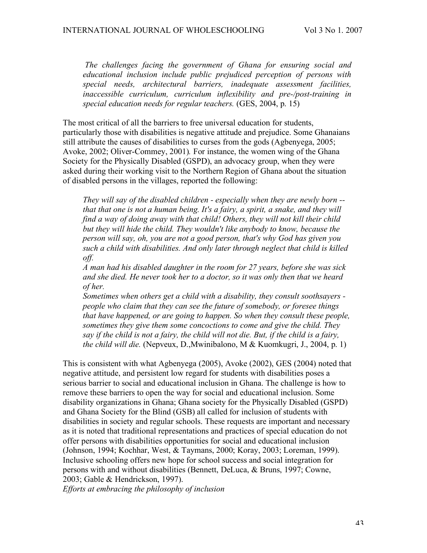*The challenges facing the government of Ghana for ensuring social and educational inclusion include public prejudiced perception of persons with special needs, architectural barriers, inadequate assessment facilities, inaccessible curriculum, curriculum inflexibility and pre-/post-training in special education needs for regular teachers.* (GES, 2004, p. 15)

The most critical of all the barriers to free universal education for students, particularly those with disabilities is negative attitude and prejudice. Some Ghanaians still attribute the causes of disabilities to curses from the gods (Agbenyega, 2005; Avoke, 2002; Oliver-Commey, 2001)*.* For instance, the women wing of the Ghana Society for the Physically Disabled (GSPD), an advocacy group, when they were asked during their working visit to the Northern Region of Ghana about the situation of disabled persons in the villages, reported the following:

*They will say of the disabled children - especially when they are newly born - that that one is not a human being. It's a fairy, a spirit, a snake, and they will find a way of doing away with that child! Others, they will not kill their child but they will hide the child. They wouldn't like anybody to know, because the person will say, oh, you are not a good person, that's why God has given you such a child with disabilities. And only later through neglect that child is killed off.*

*A man had his disabled daughter in the room for 27 years, before she was sick and she died. He never took her to a doctor, so it was only then that we heard of her.*

*Sometimes when others get a child with a disability, they consult soothsayers people who claim that they can see the future of somebody, or foresee things that have happened, or are going to happen. So when they consult these people, sometimes they give them some concoctions to come and give the child. They say if the child is not a fairy, the child will not die. But, if the child is a fairy, the child will die.* (Nepveux, D.,Mwinibalono, M & Kuomkugri, J., 2004, p. 1)

This is consistent with what Agbenyega (2005), Avoke (2002), GES (2004) noted that negative attitude, and persistent low regard for students with disabilities poses a serious barrier to social and educational inclusion in Ghana. The challenge is how to remove these barriers to open the way for social and educational inclusion. Some disability organizations in Ghana; Ghana society for the Physically Disabled (GSPD) and Ghana Society for the Blind (GSB) all called for inclusion of students with disabilities in society and regular schools. These requests are important and necessary as it is noted that traditional representations and practices of special education do not offer persons with disabilities opportunities for social and educational inclusion (Johnson, 1994; Kochhar, West, & Taymans, 2000; Koray, 2003; Loreman, 1999). Inclusive schooling offers new hope for school success and social integration for persons with and without disabilities (Bennett, DeLuca, & Bruns, 1997; Cowne, 2003; Gable & Hendrickson, 1997).

*Efforts at embracing the philosophy of inclusion*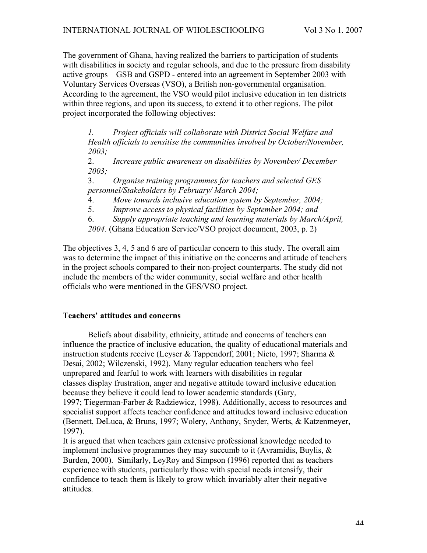The government of Ghana, having realized the barriers to participation of students with disabilities in society and regular schools, and due to the pressure from disability active groups – GSB and GSPD - entered into an agreement in September 2003 with Voluntary Services Overseas (VSO), a British non-governmental organisation. According to the agreement, the VSO would pilot inclusive education in ten districts within three regions, and upon its success, to extend it to other regions. The pilot project incorporated the following objectives:

*1. Project officials will collaborate with District Social Welfare and Health officials to sensitise the communities involved by October/November, 2003;*

2. *Increase public awareness on disabilities by November/ December 2003;*

3. *Organise training programmes for teachers and selected GES personnel/Stakeholders by February/ March 2004;*

4. *Move towards inclusive education system by September, 2004;*

5. *Improve access to physical facilities by September 2004; and*

6. *Supply appropriate teaching and learning materials by March/April,*

*2004.* (Ghana Education Service/VSO project document, 2003, p. 2)

The objectives 3, 4, 5 and 6 are of particular concern to this study. The overall aim was to determine the impact of this initiative on the concerns and attitude of teachers in the project schools compared to their non-project counterparts. The study did not include the members of the wider community, social welfare and other health officials who were mentioned in the GES/VSO project.

## **Teachers' attitudes and concerns**

Beliefs about disability, ethnicity, attitude and concerns of teachers can influence the practice of inclusive education, the quality of educational materials and instruction students receive (Leyser & Tappendorf, 2001; Nieto, 1997; Sharma & Desai, 2002; Wilczenski, 1992). Many regular education teachers who feel unprepared and fearful to work with learners with disabilities in regular classes display frustration, anger and negative attitude toward inclusive education because they believe it could lead to lower academic standards (Gary, 1997; Tiegerman-Farber & Radziewicz, 1998). Additionally, access to resources and specialist support affects teacher confidence and attitudes toward inclusive education (Bennett, DeLuca, & Bruns, 1997; Wolery, Anthony, Snyder, Werts, & Katzenmeyer, 1997).

It is argued that when teachers gain extensive professional knowledge needed to implement inclusive programmes they may succumb to it (Avramidis, Buylis, & Burden, 2000). Similarly, LeyRoy and Simpson (1996) reported that as teachers experience with students, particularly those with special needs intensify, their confidence to teach them is likely to grow which invariably alter their negative attitudes.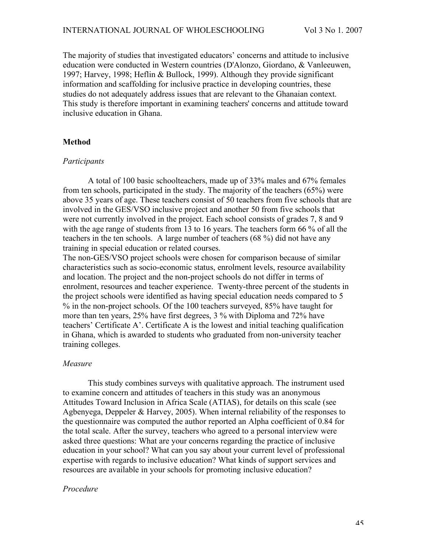The majority of studies that investigated educators' concerns and attitude to inclusive education were conducted in Western countries (D'Alonzo, Giordano, & Vanleeuwen, 1997; Harvey, 1998; Heflin & Bullock, 1999). Although they provide significant information and scaffolding for inclusive practice in developing countries, these studies do not adequately address issues that are relevant to the Ghanaian context. This study is therefore important in examining teachers' concerns and attitude toward inclusive education in Ghana.

#### **Method**

#### *Participants*

A total of 100 basic schoolteachers, made up of 33% males and 67% females from ten schools, participated in the study. The majority of the teachers (65%) were above 35 years of age. These teachers consist of 50 teachers from five schools that are involved in the GES/VSO inclusive project and another 50 from five schools that were not currently involved in the project. Each school consists of grades 7, 8 and 9 with the age range of students from 13 to 16 years. The teachers form 66 % of all the teachers in the ten schools. A large number of teachers (68 %) did not have any training in special education or related courses.

The non-GES/VSO project schools were chosen for comparison because of similar characteristics such as socio-economic status, enrolment levels, resource availability and location. The project and the non-project schools do not differ in terms of enrolment, resources and teacher experience. Twenty-three percent of the students in the project schools were identified as having special education needs compared to 5 % in the non-project schools. Of the 100 teachers surveyed, 85% have taught for more than ten years, 25% have first degrees, 3 % with Diploma and 72% have teachers' Certificate A'. Certificate A is the lowest and initial teaching qualification in Ghana, which is awarded to students who graduated from non-university teacher training colleges.

#### *Measure*

This study combines surveys with qualitative approach. The instrument used to examine concern and attitudes of teachers in this study was an anonymous Attitudes Toward Inclusion in Africa Scale (ATIAS), for details on this scale (see Agbenyega, Deppeler & Harvey, 2005). When internal reliability of the responses to the questionnaire was computed the author reported an Alpha coefficient of 0.84 for the total scale. After the survey, teachers who agreed to a personal interview were asked three questions: What are your concerns regarding the practice of inclusive education in your school? What can you say about your current level of professional expertise with regards to inclusive education? What kinds of support services and resources are available in your schools for promoting inclusive education?

#### *Procedure*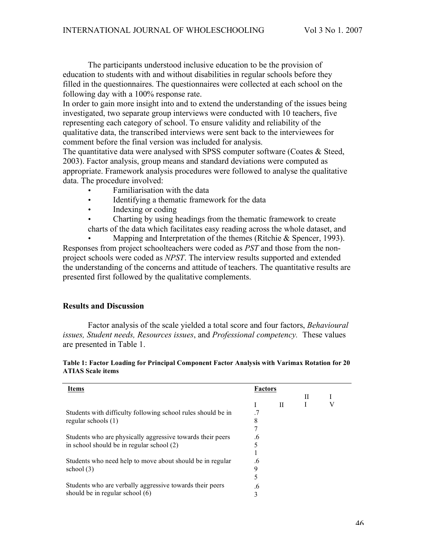The participants understood inclusive education to be the provision of education to students with and without disabilities in regular schools before they filled in the questionnaires. The questionnaires were collected at each school on the following day with a 100% response rate.

In order to gain more insight into and to extend the understanding of the issues being investigated, two separate group interviews were conducted with 10 teachers, five representing each category of school. To ensure validity and reliability of the qualitative data, the transcribed interviews were sent back to the interviewees for comment before the final version was included for analysis.

The quantitative data were analysed with SPSS computer software (Coates & Steed, 2003). Factor analysis, group means and standard deviations were computed as appropriate. Framework analysis procedures were followed to analyse the qualitative data. The procedure involved:

- Familiarisation with the data
- Identifying a thematic framework for the data
- Indexing or coding
- Charting by using headings from the thematic framework to create

charts of the data which facilitates easy reading across the whole dataset, and

Mapping and Interpretation of the themes (Ritchie & Spencer, 1993). Responses from project schoolteachers were coded as *PST* and those from the nonproject schools were coded as *NPST*. The interview results supported and extended the understanding of the concerns and attitude of teachers. The quantitative results are presented first followed by the qualitative complements.

## **Results and Discussion**

Factor analysis of the scale yielded a total score and four factors, *Behavioural issues, Student needs, Resources issues*, and *Professional competency.* These values are presented in Table 1.

| Table 1: Factor Loading for Principal Component Factor Analysis with Varimax Rotation for 20 |  |  |  |  |  |
|----------------------------------------------------------------------------------------------|--|--|--|--|--|
| <b>ATIAS Scale items</b>                                                                     |  |  |  |  |  |

| <b>Items</b>                                                 |           | <b>Factors</b> |   |  |  |  |
|--------------------------------------------------------------|-----------|----------------|---|--|--|--|
|                                                              |           |                | П |  |  |  |
|                                                              |           | Н              |   |  |  |  |
| Students with difficulty following school rules should be in | $\cdot$ 7 |                |   |  |  |  |
| regular schools $(1)$                                        | 8         |                |   |  |  |  |
|                                                              |           |                |   |  |  |  |
| Students who are physically aggressive towards their peers   | .6        |                |   |  |  |  |
| in school should be in regular school (2)                    |           |                |   |  |  |  |
|                                                              |           |                |   |  |  |  |
| Students who need help to move about should be in regular    | .6        |                |   |  |  |  |
| school $(3)$                                                 | 9         |                |   |  |  |  |
|                                                              |           |                |   |  |  |  |
| Students who are verbally aggressive towards their peers     | .6        |                |   |  |  |  |
| should be in regular school (6)                              | 3         |                |   |  |  |  |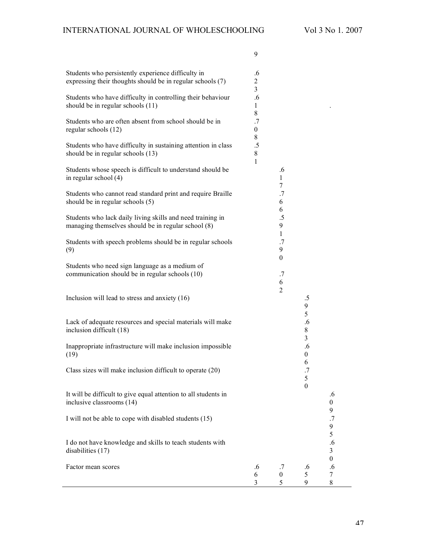9

| Students who persistently experience difficulty in<br>expressing their thoughts should be in regular schools (7)  | .6<br>$\overline{c}$<br>3 |                             |                             |                                  |
|-------------------------------------------------------------------------------------------------------------------|---------------------------|-----------------------------|-----------------------------|----------------------------------|
| Students who have difficulty in controlling their behaviour<br>should be in regular schools (11)                  | .6<br>1<br>8              |                             |                             |                                  |
| Students who are often absent from school should be in<br>regular schools (12)                                    | .7<br>$\overline{0}$      |                             |                             |                                  |
| Students who have difficulty in sustaining attention in class<br>should be in regular schools (13)                | 8<br>$.5\,$<br>8<br>1     |                             |                             |                                  |
| Students whose speech is difficult to understand should be<br>in regular school (4)                               |                           | .6<br>1                     |                             |                                  |
| Students who cannot read standard print and require Braille<br>should be in regular schools (5)                   |                           | 7<br>.7<br>6                |                             |                                  |
| Students who lack daily living skills and need training in<br>managing themselves should be in regular school (8) |                           | 6<br>$.5\,$<br>9            |                             |                                  |
| Students with speech problems should be in regular schools<br>(9)                                                 |                           | $\mathbf{1}$<br>.7<br>9     |                             |                                  |
| Students who need sign language as a medium of<br>communication should be in regular schools (10)                 |                           | $\boldsymbol{0}$<br>.7<br>6 |                             |                                  |
| Inclusion will lead to stress and anxiety (16)                                                                    |                           | $\overline{2}$              | $.5\,$<br>9                 |                                  |
| Lack of adequate resources and special materials will make<br>inclusion difficult (18)                            |                           |                             | 5<br>.6<br>$8\,$            |                                  |
| Inappropriate infrastructure will make inclusion impossible<br>(19)                                               |                           |                             | 3<br>.6<br>$\boldsymbol{0}$ |                                  |
| Class sizes will make inclusion difficult to operate (20)                                                         |                           |                             | 6<br>.7<br>5                |                                  |
| It will be difficult to give equal attention to all students in<br>inclusive classrooms (14)                      |                           |                             | $\boldsymbol{0}$            | .6<br>$\overline{0}$             |
| I will not be able to cope with disabled students (15)                                                            |                           |                             |                             | 9<br>.7<br>9                     |
| I do not have knowledge and skills to teach students with<br>disabilities $(17)$                                  |                           |                             |                             | 5<br>.6<br>3                     |
| Factor mean scores                                                                                                | .6<br>6<br>3              | .7<br>$\boldsymbol{0}$<br>5 | .6<br>5<br>9                | $\boldsymbol{0}$<br>.6<br>7<br>8 |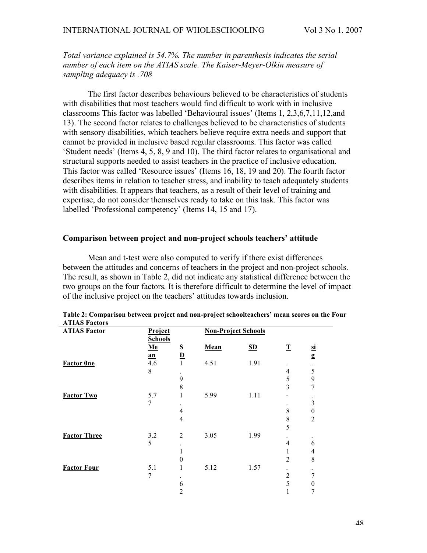*Total variance explained is 54.7%. The number in parenthesis indicates the serial number of each item on the ATIAS scale. The Kaiser-Meyer-Olkin measure of sampling adequacy is .708*

The first factor describes behaviours believed to be characteristics of students with disabilities that most teachers would find difficult to work with in inclusive classrooms This factor was labelled 'Behavioural issues' (Items 1, 2,3,6,7,11,12,and 13). The second factor relates to challenges believed to be characteristics of students with sensory disabilities, which teachers believe require extra needs and support that cannot be provided in inclusive based regular classrooms. This factor was called 'Student needs' (Items 4, 5, 8, 9 and 10). The third factor relates to organisational and structural supports needed to assist teachers in the practice of inclusive education. This factor was called 'Resource issues' (Items 16, 18, 19 and 20). The fourth factor describes items in relation to teacher stress, and inability to teach adequately students with disabilities. It appears that teachers, as a result of their level of training and expertise, do not consider themselves ready to take on this task. This factor was labelled 'Professional competency' (Items 14, 15 and 17).

## **Comparison between project and non-project schools teachers' attitude**

Mean and t-test were also computed to verify if there exist differences between the attitudes and concerns of teachers in the project and non-project schools. The result, as shown in Table 2, did not indicate any statistical difference between the two groups on the four factors. It is therefore difficult to determine the level of impact of the inclusive project on the teachers' attitudes towards inclusion.

| A LLAS FACIOIS      |       |                                                         |      |         |                      |                          |
|---------------------|-------|---------------------------------------------------------|------|---------|----------------------|--------------------------|
| <b>ATIAS Factor</b> |       | <b>Non-Project Schools</b><br>Project<br><b>Schools</b> |      |         |                      |                          |
|                     | $Me$  | S                                                       | Mean | $S_{D}$ | $\mathbf T$          | $\overline{\mathbf{si}}$ |
|                     | $a$ n | $\overline{\mathbf{D}}$                                 |      |         |                      | g                        |
| <b>Factor One</b>   | 4.6   |                                                         | 4.51 | 1.91    | ۰                    |                          |
|                     | 8     |                                                         |      |         | $\overline{4}$       | 5                        |
|                     |       | 9                                                       |      |         | 5                    | 9                        |
|                     |       | $\,$ 8 $\,$                                             |      |         | 3                    | 7                        |
| <b>Factor Two</b>   | 5.7   | 1                                                       | 5.99 | 1.11    |                      |                          |
|                     | 7     |                                                         |      |         |                      | $\mathfrak{Z}$           |
|                     |       | $\overline{4}$                                          |      |         | 8                    | $\boldsymbol{0}$         |
|                     |       | $\overline{4}$                                          |      |         | 8                    | $\overline{2}$           |
|                     |       |                                                         |      |         | 5                    |                          |
| <b>Factor Three</b> | 3.2   | $\overline{2}$                                          | 3.05 | 1.99    |                      |                          |
|                     | 5     |                                                         |      |         | $\overline{4}$       | 6                        |
|                     |       |                                                         |      |         |                      | 4                        |
|                     |       | 0                                                       |      |         | 2                    | 8                        |
| <b>Factor Four</b>  | 5.1   | 1                                                       | 5.12 | 1.57    | $\ddot{\phantom{0}}$ |                          |
|                     | 7     |                                                         |      |         | $\overline{2}$       | 7                        |
|                     |       | 6                                                       |      |         | 5                    | 0                        |
|                     |       | $\overline{2}$                                          |      |         |                      | 7                        |
|                     |       |                                                         |      |         |                      |                          |

| Table 2: Comparison between project and non-project schoolteachers' mean scores on the Four |  |  |
|---------------------------------------------------------------------------------------------|--|--|
| <b>ATIAS Factors</b>                                                                        |  |  |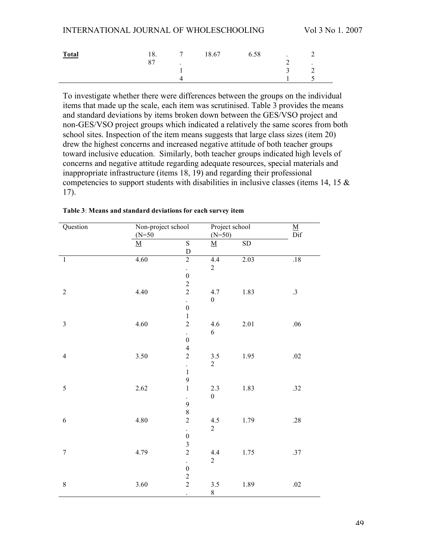| <b>Total</b> | 18.<br>$\mathbf{\mathcal{L}}$ | $\overline{ }$<br>$\ddot{\phantom{1}}$ | 18.67 | 6.58 |   | <b>__</b><br>$\overline{\phantom{a}}$ |
|--------------|-------------------------------|----------------------------------------|-------|------|---|---------------------------------------|
|              |                               |                                        |       |      | ◡ |                                       |
|              |                               |                                        |       |      |   |                                       |

To investigate whether there were differences between the groups on the individual items that made up the scale, each item was scrutinised. Table 3 provides the means and standard deviations by items broken down between the GES/VSO project and non-GES/VSO project groups which indicated a relatively the same scores from both school sites. Inspection of the item means suggests that large class sizes (item 20) drew the highest concerns and increased negative attitude of both teacher groups toward inclusive education. Similarly, both teacher groups indicated high levels of concerns and negative attitude regarding adequate resources, special materials and inappropriate infrastructure (items 18, 19) and regarding their professional competencies to support students with disabilities in inclusive classes (items 14, 15  $\&$ 17).

| Question         | Non-project school<br>$(N=50)$ |                         | Project school           |                 | $\frac{\text{M}}{\text{Dif}}$ |  |
|------------------|--------------------------------|-------------------------|--------------------------|-----------------|-------------------------------|--|
|                  |                                |                         | $(N=50)$                 |                 |                               |  |
|                  | $\bf M$                        | $\overline{S}$          | $\underline{\mathbf{M}}$ | $\overline{SD}$ |                               |  |
|                  |                                | $\mathbf D$             |                          |                 |                               |  |
| $\mathbf 1$      | 4.60                           | $\overline{2}$          | 4.4                      | 2.03            | .18                           |  |
|                  |                                | $\ddot{\phantom{0}}$    | $\sqrt{2}$               |                 |                               |  |
|                  |                                | $\boldsymbol{0}$        |                          |                 |                               |  |
|                  |                                | $\frac{2}{2}$           |                          |                 |                               |  |
| $\sqrt{2}$       | 4.40                           |                         | 4.7                      | 1.83            | $\cdot$ 3                     |  |
|                  |                                | $\ddot{\phantom{0}}$    | $\boldsymbol{0}$         |                 |                               |  |
|                  |                                | $\boldsymbol{0}$        |                          |                 |                               |  |
|                  |                                | $\,1$                   |                          |                 |                               |  |
| $\mathfrak{Z}$   | 4.60                           | $\overline{2}$          | $4.6\,$                  | 2.01            | $.06\,$                       |  |
|                  |                                | $\ddot{\phantom{0}}$    | $\boldsymbol{6}$         |                 |                               |  |
|                  |                                | $\boldsymbol{0}$        |                          |                 |                               |  |
|                  |                                | $\overline{4}$          |                          |                 |                               |  |
| $\overline{4}$   | $3.50\,$                       | $\overline{c}$          | $3.5\,$                  | 1.95            | $.02\,$                       |  |
|                  |                                | $\ddot{\phantom{0}}$    | $\overline{2}$           |                 |                               |  |
|                  |                                | $\mathbf 1$             |                          |                 |                               |  |
|                  |                                | 9                       |                          |                 |                               |  |
| 5                | 2.62                           | $\,1$                   | $2.3\,$                  | 1.83            | .32                           |  |
|                  |                                | $\ddot{\phantom{0}}$    | $\boldsymbol{0}$         |                 |                               |  |
|                  |                                | 9                       |                          |                 |                               |  |
|                  |                                | $\,$ $\,$               |                          |                 |                               |  |
| $\sqrt{6}$       | 4.80                           | $\overline{c}$          | $4.5\,$                  | 1.79            | $.28\,$                       |  |
|                  |                                | $\Box$                  | $\overline{2}$           |                 |                               |  |
|                  |                                | $\boldsymbol{0}$        |                          |                 |                               |  |
|                  |                                | $\overline{\mathbf{3}}$ |                          |                 |                               |  |
| $\boldsymbol{7}$ | 4.79                           | $\overline{c}$          | $4.4\,$                  | 1.75            | $.37\,$                       |  |
|                  |                                | $\bullet$               | $\overline{2}$           |                 |                               |  |
|                  |                                | $\boldsymbol{0}$        |                          |                 |                               |  |
|                  |                                |                         |                          |                 |                               |  |
| $\,$ $\,$        | 3.60                           | $\frac{2}{2}$           | $3.5\,$                  | 1.89            | $.02\,$                       |  |
|                  |                                | $\ddot{\phantom{0}}$    | $\,8$                    |                 |                               |  |

**Table 3**: **Means and standard deviations for each survey item**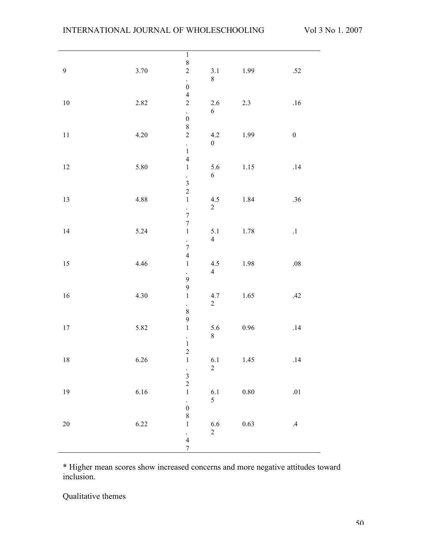|                |          | $\begin{array}{c} 1 \\ 8 \end{array}$      |                  |          |                  |
|----------------|----------|--------------------------------------------|------------------|----------|------------------|
|                |          |                                            |                  |          |                  |
| $\overline{9}$ | $3.70\,$ | $\overline{c}$                             | 3.1              | 1.99     | $.52\,$          |
|                |          | $\Box$                                     | $8\,$            |          |                  |
|                |          | $\boldsymbol{0}$                           |                  |          |                  |
|                |          | $\overline{4}$                             |                  |          |                  |
| $10\,$         | 2.82     | $\overline{c}$                             | $2.6\,$          | $2.3\,$  | $.16\,$          |
|                |          | $\ddot{\phantom{0}}$                       | $\sqrt{6}$       |          |                  |
|                |          | $\boldsymbol{0}$                           |                  |          |                  |
|                |          | 8                                          |                  |          |                  |
| $11\,$         | $4.20\,$ | $\overline{c}$                             | $4.2\,$          | 1.99     | $\boldsymbol{0}$ |
|                |          | $\frac{1}{1}$                              | $\boldsymbol{0}$ |          |                  |
|                |          |                                            |                  |          |                  |
|                |          | $\overline{4}$                             |                  |          |                  |
| $12\,$         | 5.80     | $\,1\,$                                    | 5.6              | $1.15\,$ | $.14$            |
|                |          |                                            | $\sqrt{6}$       |          |                  |
|                |          | $\begin{array}{c} 3 \\ 2 \\ 1 \end{array}$ |                  |          |                  |
|                |          |                                            |                  |          |                  |
| 13             | 4.88     |                                            | 4.5              | 1.84     | $.36\,$          |
|                |          |                                            | $\overline{c}$   |          |                  |
|                |          | $\frac{1}{7}$                              |                  |          |                  |
|                |          | $\overline{7}$                             |                  |          |                  |
| $14$           | 5.24     | $\mathbf 1$                                | $5.1\,$          | 1.78     | $\cdot^1$        |
|                |          |                                            | $\overline{4}$   |          |                  |
|                |          | $\frac{1}{7}$                              |                  |          |                  |
|                |          | $\overline{4}$                             |                  |          |                  |
| $15\,$         | 4.46     | $\,1\,$                                    | $4.5\,$          | 1.98     | $.08\,$          |
|                |          |                                            | $\overline{4}$   |          |                  |
|                |          | $\ddot{\phantom{0}}$<br>$\overline{9}$     |                  |          |                  |
|                |          | $\overline{9}$                             |                  |          |                  |
| $16\,$         | $4.30\,$ | $\,1\,$                                    | 4.7              | $1.65\,$ | $.42\,$          |
|                |          |                                            | $\sqrt{2}$       |          |                  |
|                |          | $\frac{1}{8}$                              |                  |          |                  |
|                |          | $\overline{9}$                             |                  |          |                  |
| $17\,$         | 5.82     | $\,1\,$                                    |                  | $0.96\,$ | $.14\,$          |
|                |          |                                            | $5.6\,$<br>$8\,$ |          |                  |
|                |          | $\frac{1}{1}$                              |                  |          |                  |
|                |          |                                            |                  |          |                  |
|                |          | $\overline{c}$                             |                  |          |                  |
| $18\,$         | 6.26     | $\,1$                                      | 6.1              | $1.45\,$ | .14              |
|                |          |                                            | $\sqrt{2}$       |          |                  |
|                |          | $\frac{1}{3}$                              |                  |          |                  |
|                |          |                                            |                  |          |                  |
| $19\,$         | 6.16     | $\,1$                                      | $6.1\,$          | $0.80\,$ | $.01\,$          |
|                |          | $\ddot{\phantom{0}}$                       | 5                |          |                  |
|                |          | $\boldsymbol{0}$                           |                  |          |                  |
|                |          | $\,$ $\,$                                  |                  |          |                  |
| $20\,$         | 6.22     | $\mathbf{1}$                               | $6.6\,$          | 0.63     | $.4\,$           |
|                |          | $\frac{1}{4}$                              | $\overline{2}$   |          |                  |
|                |          |                                            |                  |          |                  |
|                |          | $\boldsymbol{7}$                           |                  |          |                  |

\* Higher mean scores show increased concerns and more negative attitudes toward inclusion.

Qualitative themes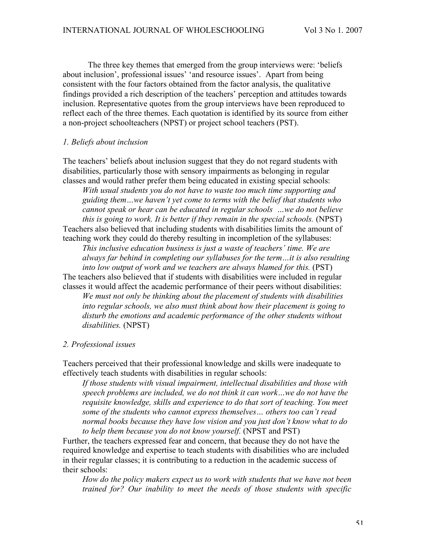The three key themes that emerged from the group interviews were: 'beliefs about inclusion', professional issues' 'and resource issues'. Apart from being consistent with the four factors obtained from the factor analysis, the qualitative findings provided a rich description of the teachers' perception and attitudes towards inclusion. Representative quotes from the group interviews have been reproduced to reflect each of the three themes. Each quotation is identified by its source from either a non-project schoolteachers (NPST) or project school teachers (PST).

#### *1. Beliefs about inclusion*

The teachers' beliefs about inclusion suggest that they do not regard students with disabilities, particularly those with sensory impairments as belonging in regular classes and would rather prefer them being educated in existing special schools:

*With usual students you do not have to waste too much time supporting and guiding them…we haven't yet come to terms with the belief that students who cannot speak or hear can be educated in regular schools …we do not believe this is going to work. It is better if they remain in the special schools.* (NPST) Teachers also believed that including students with disabilities limits the amount of teaching work they could do thereby resulting in incompletion of the syllabuses:

*This inclusive education business is just a waste of teachers' time. We are always far behind in completing our syllabuses for the term…it is also resulting into low output of work and we teachers are always blamed for this.* (PST) The teachers also believed that if students with disabilities were included in regular

classes it would affect the academic performance of their peers without disabilities: *We must not only be thinking about the placement of students with disabilities into regular schools, we also must think about how their placement is going to disturb the emotions and academic performance of the other students without disabilities.* (NPST)

#### *2. Professional issues*

Teachers perceived that their professional knowledge and skills were inadequate to effectively teach students with disabilities in regular schools:

*If those students with visual impairment, intellectual disabilities and those with speech problems are included, we do not think it can work…we do not have the requisite knowledge, skills and experience to do that sort of teaching. You meet some of the students who cannot express themselves… others too can't read normal books because they have low vision and you just don't know what to do to help them because you do not know yourself.* (NPST and PST)

Further, the teachers expressed fear and concern, that because they do not have the required knowledge and expertise to teach students with disabilities who are included in their regular classes; it is contributing to a reduction in the academic success of their schools:

*How do the policy makers expect us to work with students that we have not been trained for? Our inability to meet the needs of those students with specific*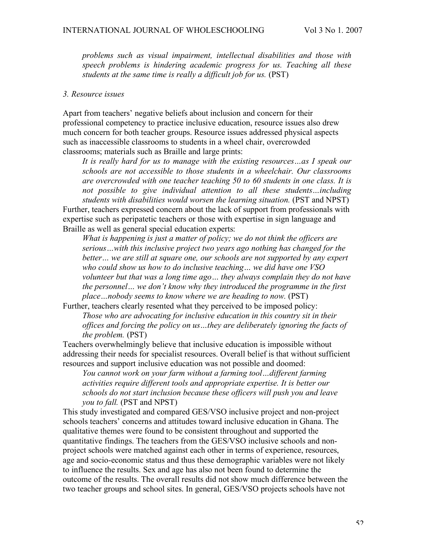*problems such as visual impairment, intellectual disabilities and those with speech problems is hindering academic progress for us. Teaching all these students at the same time is really a difficult job for us.* (PST)

#### *3. Resource issues*

Apart from teachers' negative beliefs about inclusion and concern for their professional competency to practice inclusive education, resource issues also drew much concern for both teacher groups. Resource issues addressed physical aspects such as inaccessible classrooms to students in a wheel chair, overcrowded classrooms; materials such as Braille and large prints:

*It is really hard for us to manage with the existing resources…as I speak our schools are not accessible to those students in a wheelchair. Our classrooms are overcrowded with one teacher teaching 50 to 60 students in one class. It is not possible to give individual attention to all these students…including students with disabilities would worsen the learning situation.* (PST and NPST) Further, teachers expressed concern about the lack of support from professionals with expertise such as peripatetic teachers or those with expertise in sign language and Braille as well as general special education experts:

*What is happening is just a matter of policy; we do not think the officers are serious…with this inclusive project two years ago nothing has changed for the better… we are still at square one, our schools are not supported by any expert who could show us how to do inclusive teaching… we did have one VSO volunteer but that was a long time ago… they always complain they do not have the personnel… we don't know why they introduced the programme in the first place…nobody seems to know where we are heading to now.* (PST)

Further, teachers clearly resented what they perceived to be imposed policy: *Those who are advocating for inclusive education in this country sit in their offices and forcing the policy on us…they are deliberately ignoring the facts of the problem.* (PST)

Teachers overwhelmingly believe that inclusive education is impossible without addressing their needs for specialist resources. Overall belief is that without sufficient resources and support inclusive education was not possible and doomed:

*You cannot work on your farm without a farming tool…different farming activities require different tools and appropriate expertise. It is better our schools do not start inclusion because these officers will push you and leave you to fall.* (PST and NPST)

This study investigated and compared GES/VSO inclusive project and non-project schools teachers' concerns and attitudes toward inclusive education in Ghana. The qualitative themes were found to be consistent throughout and supported the quantitative findings. The teachers from the GES/VSO inclusive schools and nonproject schools were matched against each other in terms of experience, resources, age and socio-economic status and thus these demographic variables were not likely to influence the results. Sex and age has also not been found to determine the outcome of the results. The overall results did not show much difference between the two teacher groups and school sites. In general, GES/VSO projects schools have not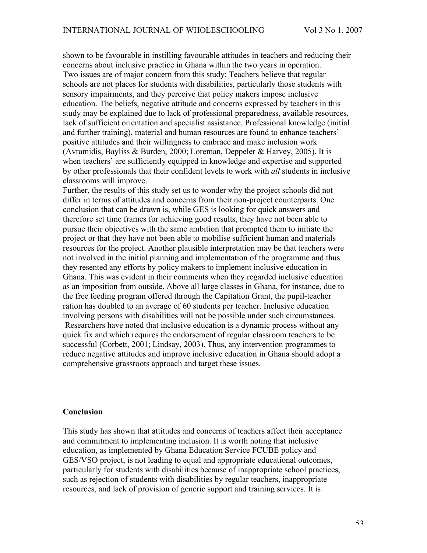shown to be favourable in instilling favourable attitudes in teachers and reducing their concerns about inclusive practice in Ghana within the two years in operation. Two issues are of major concern from this study: Teachers believe that regular schools are not places for students with disabilities, particularly those students with sensory impairments, and they perceive that policy makers impose inclusive education. The beliefs, negative attitude and concerns expressed by teachers in this study may be explained due to lack of professional preparedness, available resources, lack of sufficient orientation and specialist assistance. Professional knowledge (initial and further training), material and human resources are found to enhance teachers' positive attitudes and their willingness to embrace and make inclusion work (Avramidis, Bayliss & Burden, 2000; Loreman, Deppeler & Harvey, 2005). It is when teachers' are sufficiently equipped in knowledge and expertise and supported by other professionals that their confident levels to work with *all* students in inclusive classrooms will improve.

Further, the results of this study set us to wonder why the project schools did not differ in terms of attitudes and concerns from their non-project counterparts. One conclusion that can be drawn is, while GES is looking for quick answers and therefore set time frames for achieving good results, they have not been able to pursue their objectives with the same ambition that prompted them to initiate the project or that they have not been able to mobilise sufficient human and materials resources for the project. Another plausible interpretation may be that teachers were not involved in the initial planning and implementation of the programme and thus they resented any efforts by policy makers to implement inclusive education in Ghana. This was evident in their comments when they regarded inclusive education as an imposition from outside. Above all large classes in Ghana, for instance, due to the free feeding program offered through the Capitation Grant, the pupil-teacher ration has doubled to an average of 60 students per teacher. Inclusive education involving persons with disabilities will not be possible under such circumstances. Researchers have noted that inclusive education is a dynamic process without any quick fix and which requires the endorsement of regular classroom teachers to be successful (Corbett, 2001; Lindsay, 2003). Thus, any intervention programmes to reduce negative attitudes and improve inclusive education in Ghana should adopt a comprehensive grassroots approach and target these issues.

## **Conclusion**

This study has shown that attitudes and concerns of teachers affect their acceptance and commitment to implementing inclusion. It is worth noting that inclusive education, as implemented by Ghana Education Service FCUBE policy and GES/VSO project, is not leading to equal and appropriate educational outcomes, particularly for students with disabilities because of inappropriate school practices, such as rejection of students with disabilities by regular teachers, inappropriate resources, and lack of provision of generic support and training services. It is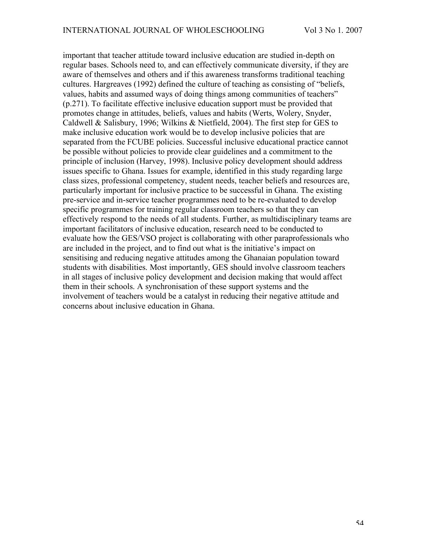important that teacher attitude toward inclusive education are studied in-depth on regular bases. Schools need to, and can effectively communicate diversity, if they are aware of themselves and others and if this awareness transforms traditional teaching cultures. Hargreaves (1992) defined the culture of teaching as consisting of "beliefs, values, habits and assumed ways of doing things among communities of teachers" (p.271). To facilitate effective inclusive education support must be provided that promotes change in attitudes, beliefs, values and habits (Werts, Wolery, Snyder, Caldwell & Salisbury, 1996; Wilkins & Nietfield, 2004). The first step for GES to make inclusive education work would be to develop inclusive policies that are separated from the FCUBE policies. Successful inclusive educational practice cannot be possible without policies to provide clear guidelines and a commitment to the principle of inclusion (Harvey, 1998). Inclusive policy development should address issues specific to Ghana. Issues for example, identified in this study regarding large class sizes, professional competency, student needs, teacher beliefs and resources are, particularly important for inclusive practice to be successful in Ghana. The existing pre-service and in-service teacher programmes need to be re-evaluated to develop specific programmes for training regular classroom teachers so that they can effectively respond to the needs of all students. Further, as multidisciplinary teams are important facilitators of inclusive education, research need to be conducted to evaluate how the GES/VSO project is collaborating with other paraprofessionals who are included in the project, and to find out what is the initiative's impact on sensitising and reducing negative attitudes among the Ghanaian population toward students with disabilities. Most importantly, GES should involve classroom teachers in all stages of inclusive policy development and decision making that would affect them in their schools. A synchronisation of these support systems and the involvement of teachers would be a catalyst in reducing their negative attitude and concerns about inclusive education in Ghana.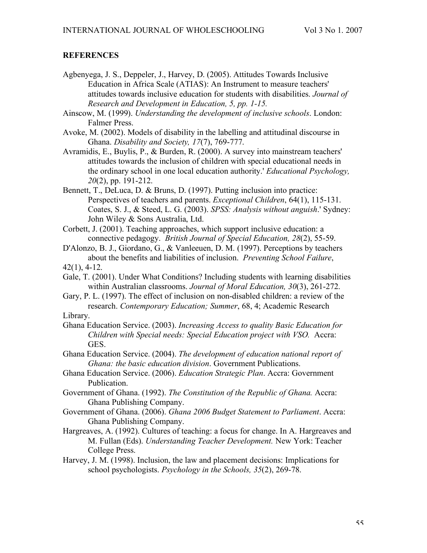## **REFERENCES**

- Agbenyega, J. S., Deppeler, J., Harvey, D. (2005). Attitudes Towards Inclusive Education in Africa Scale (ATIAS): An Instrument to measure teachers' attitudes towards inclusive education for students with disabilities. *Journal of Research and Development in Education, 5, pp. 1-15.*
- Ainscow, M. (1999). *Understanding the development of inclusive schools*. London: Falmer Press.
- Avoke, M. (2002). Models of disability in the labelling and attitudinal discourse in Ghana. *Disability and Society, 17*(7), 769-777.
- Avramidis, E., Buylis, P., & Burden, R. (2000). A survey into mainstream teachers' attitudes towards the inclusion of children with special educational needs in the ordinary school in one local education authority.' *Educational Psychology, 20*(2), pp. 191-212.
- Bennett, T., DeLuca, D. & Bruns, D. (1997). Putting inclusion into practice: Perspectives of teachers and parents. *Exceptional Children*, 64(1), 115-131. Coates, S. J., & Steed, L. G. (2003). *SPSS: Analysis without anguish*.' Sydney: John Wiley & Sons Australia, Ltd.
- Corbett, J. (2001). Teaching approaches, which support inclusive education: a connective pedagogy. *British Journal of Special Education, 28*(2), 55-59.
- D'Alonzo, B. J., Giordano, G., & Vanleeuen, D. M. (1997). Perceptions by teachers about the benefits and liabilities of inclusion. *Preventing School Failure*, 42(1), 4-12.
- Gale, T. (2001). Under What Conditions? Including students with learning disabilities within Australian classrooms. *Journal of Moral Education, 30*(3), 261-272.
- Gary, P. L. (1997). The effect of inclusion on non-disabled children: a review of the research. *Contemporary Education; Summer*, 68, 4; Academic Research

# Library.

- Ghana Education Service. (2003). *Increasing Access to quality Basic Education for Children with Special needs: Special Education project with VSO.* Accra: GES.
- Ghana Education Service. (2004). *The development of education national report of Ghana: the basic education division*. Government Publications.
- Ghana Education Service. (2006). *Education Strategic Plan*. Accra: Government Publication.
- Government of Ghana. (1992). *The Constitution of the Republic of Ghana.* Accra: Ghana Publishing Company.
- Government of Ghana. (2006). *Ghana 2006 Budget Statement to Parliament*. Accra: Ghana Publishing Company.
- Hargreaves, A. (1992). Cultures of teaching: a focus for change. In A. Hargreaves and M. Fullan (Eds). *Understanding Teacher Development.* New York: Teacher College Press.
- Harvey, J. M. (1998). Inclusion, the law and placement decisions: Implications for school psychologists. *Psychology in the Schools, 35*(2), 269-78.